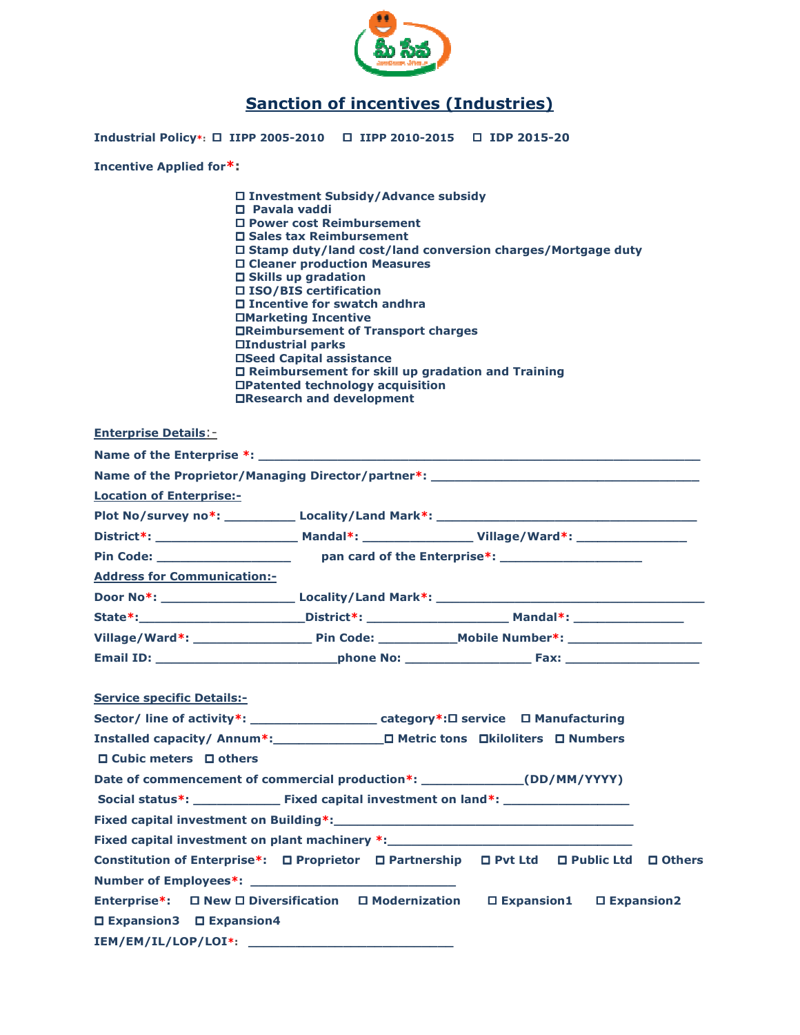

## Sanction of incentives (Industries)

Industrial Policy\*:  $\Box$  IIPP 2005-2010  $\quad \Box$  IIPP 2010-2015  $\quad \Box$  IDP 2015-20

Incentive Applied for\*:

| □ Investment Subsidy/Advance subsidy                              |
|-------------------------------------------------------------------|
| $\square$ Pavala vaddi                                            |
| □ Power cost Reimbursement                                        |
| □ Sales tax Reimbursement                                         |
| $\Box$ Stamp duty/land cost/land conversion charges/Mortgage duty |
| □ Cleaner production Measures                                     |
| $\Box$ Skills up gradation                                        |
| □ ISO/BIS certification                                           |
| $\Box$ Incentive for swatch andhra                                |
| □Marketing Incentive                                              |
| □Reimbursement of Transport charges                               |
| □Industrial parks                                                 |
| □Seed Capital assistance                                          |
| $\Box$ Reimbursement for skill up gradation and Training          |
| □Patented technology acquisition                                  |
| □Research and development                                         |
|                                                                   |

|                                                                                         | □Research and development |  |
|-----------------------------------------------------------------------------------------|---------------------------|--|
| <b>Enterprise Details:-</b>                                                             |                           |  |
|                                                                                         |                           |  |
| Name of the Proprietor/Managing Director/partner*: _____________________________        |                           |  |
| <b>Location of Enterprise:-</b>                                                         |                           |  |
|                                                                                         |                           |  |
|                                                                                         |                           |  |
|                                                                                         |                           |  |
| <b>Address for Communication:-</b>                                                      |                           |  |
|                                                                                         |                           |  |
|                                                                                         |                           |  |
|                                                                                         |                           |  |
|                                                                                         |                           |  |
| <b>Service specific Details:-</b>                                                       |                           |  |
| Sector/ line of activity*: ________________________category*:□ service □ Manufacturing  |                           |  |
| Installed capacity/ Annum*: D Metric tons Dkiloliters D Numbers                         |                           |  |
| $\Box$ Cubic meters $\Box$ others                                                       |                           |  |
| Date of commencement of commercial production*: _______________(DD/MM/YYYY)             |                           |  |
|                                                                                         |                           |  |
|                                                                                         |                           |  |
| Fixed capital investment on plant machinery *: _________________________________        |                           |  |
| Constitution of Enterprise*: □ Proprietor □ Partnership □ Pvt Ltd □ Public Ltd □ Others |                           |  |
|                                                                                         |                           |  |
| Enterprise*: □ New □ Diversification □ Modernization □ Expansion1 □ Expansion2          |                           |  |
| □ Expansion3 □ Expansion4                                                               |                           |  |
|                                                                                         |                           |  |